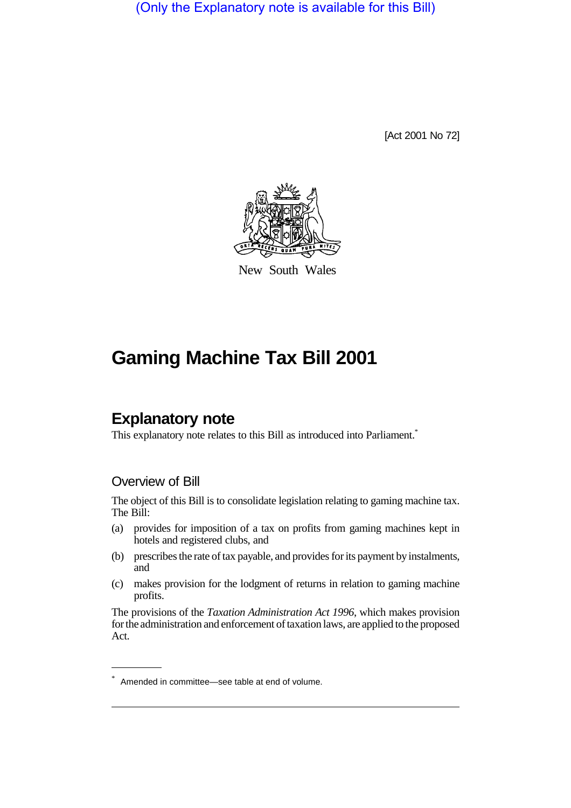(Only the Explanatory note is available for this Bill)

[Act 2001 No 72]



New South Wales

# **Gaming Machine Tax Bill 2001**

## **Explanatory note**

This explanatory note relates to this Bill as introduced into Parliament.<sup>\*</sup>

#### Overview of Bill

The object of this Bill is to consolidate legislation relating to gaming machine tax. The Bill:

- (a) provides for imposition of a tax on profits from gaming machines kept in hotels and registered clubs, and
- (b) prescribes the rate of tax payable, and provides for its payment by instalments, and
- (c) makes provision for the lodgment of returns in relation to gaming machine profits.

The provisions of the *Taxation Administration Act 1996*, which makes provision for the administration and enforcement of taxation laws, are applied to the proposed Act.

<sup>\*</sup> Amended in committee—see table at end of volume.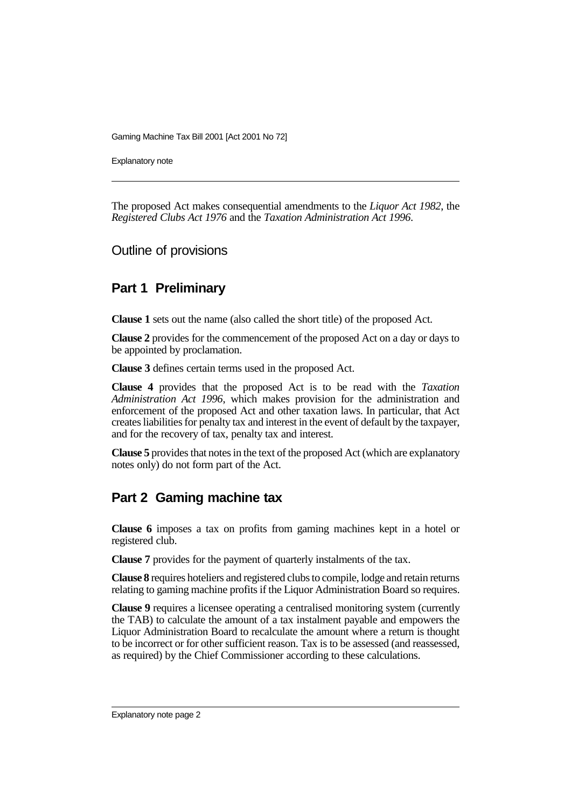Explanatory note

The proposed Act makes consequential amendments to the *Liquor Act 1982*, the *Registered Clubs Act 1976* and the *Taxation Administration Act 1996*.

Outline of provisions

### **Part 1 Preliminary**

**Clause 1** sets out the name (also called the short title) of the proposed Act.

**Clause 2** provides for the commencement of the proposed Act on a day or days to be appointed by proclamation.

**Clause 3** defines certain terms used in the proposed Act.

**Clause 4** provides that the proposed Act is to be read with the *Taxation Administration Act 1996*, which makes provision for the administration and enforcement of the proposed Act and other taxation laws. In particular, that Act creates liabilities for penalty tax and interest in the event of default by the taxpayer, and for the recovery of tax, penalty tax and interest.

**Clause 5** provides that notes in the text of the proposed Act (which are explanatory notes only) do not form part of the Act.

### **Part 2 Gaming machine tax**

**Clause 6** imposes a tax on profits from gaming machines kept in a hotel or registered club.

**Clause 7** provides for the payment of quarterly instalments of the tax.

**Clause 8** requires hoteliers and registered clubs to compile, lodge and retain returns relating to gaming machine profits if the Liquor Administration Board so requires.

**Clause 9** requires a licensee operating a centralised monitoring system (currently the TAB) to calculate the amount of a tax instalment payable and empowers the Liquor Administration Board to recalculate the amount where a return is thought to be incorrect or for other sufficient reason. Tax is to be assessed (and reassessed, as required) by the Chief Commissioner according to these calculations.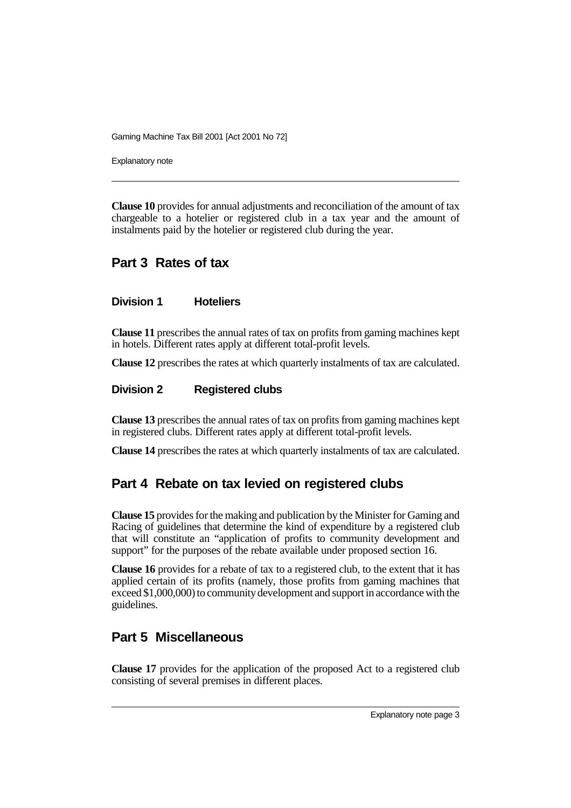Explanatory note

**Clause 10** provides for annual adjustments and reconciliation of the amount of tax chargeable to a hotelier or registered club in a tax year and the amount of instalments paid by the hotelier or registered club during the year.

### **Part 3 Rates of tax**

#### **Division 1 Hoteliers**

**Clause 11** prescribes the annual rates of tax on profits from gaming machines kept in hotels. Different rates apply at different total-profit levels.

**Clause 12** prescribes the rates at which quarterly instalments of tax are calculated.

#### **Division 2 Registered clubs**

**Clause 13** prescribes the annual rates of tax on profits from gaming machines kept in registered clubs. Different rates apply at different total-profit levels.

**Clause 14** prescribes the rates at which quarterly instalments of tax are calculated.

### **Part 4 Rebate on tax levied on registered clubs**

**Clause 15** provides for the making and publication by the Minister for Gaming and Racing of guidelines that determine the kind of expenditure by a registered club that will constitute an "application of profits to community development and support" for the purposes of the rebate available under proposed section 16.

**Clause 16** provides for a rebate of tax to a registered club, to the extent that it has applied certain of its profits (namely, those profits from gaming machines that exceed \$1,000,000) to community development and support in accordance with the guidelines.

### **Part 5 Miscellaneous**

**Clause 17** provides for the application of the proposed Act to a registered club consisting of several premises in different places.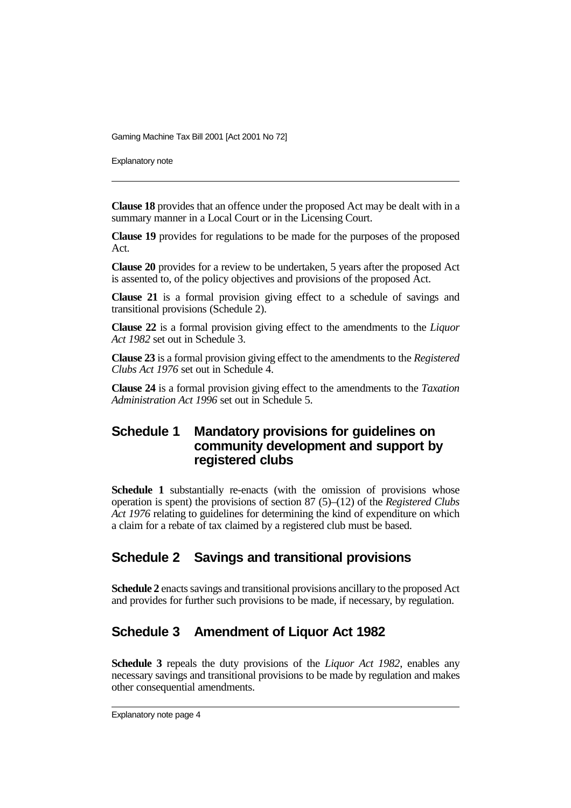Explanatory note

**Clause 18** provides that an offence under the proposed Act may be dealt with in a summary manner in a Local Court or in the Licensing Court.

**Clause 19** provides for regulations to be made for the purposes of the proposed Act.

**Clause 20** provides for a review to be undertaken, 5 years after the proposed Act is assented to, of the policy objectives and provisions of the proposed Act.

**Clause 21** is a formal provision giving effect to a schedule of savings and transitional provisions (Schedule 2).

**Clause 22** is a formal provision giving effect to the amendments to the *Liquor Act 1982* set out in Schedule 3.

**Clause 23** is a formal provision giving effect to the amendments to the *Registered Clubs Act 1976* set out in Schedule 4.

**Clause 24** is a formal provision giving effect to the amendments to the *Taxation Administration Act 1996* set out in Schedule 5.

#### **Schedule 1 Mandatory provisions for guidelines on community development and support by registered clubs**

**Schedule 1** substantially re-enacts (with the omission of provisions whose operation is spent) the provisions of section 87 (5)–(12) of the *Registered Clubs Act 1976* relating to guidelines for determining the kind of expenditure on which a claim for a rebate of tax claimed by a registered club must be based.

### **Schedule 2 Savings and transitional provisions**

**Schedule 2** enacts savings and transitional provisions ancillary to the proposed Act and provides for further such provisions to be made, if necessary, by regulation.

### **Schedule 3 Amendment of Liquor Act 1982**

**Schedule 3** repeals the duty provisions of the *Liquor Act 1982*, enables any necessary savings and transitional provisions to be made by regulation and makes other consequential amendments.